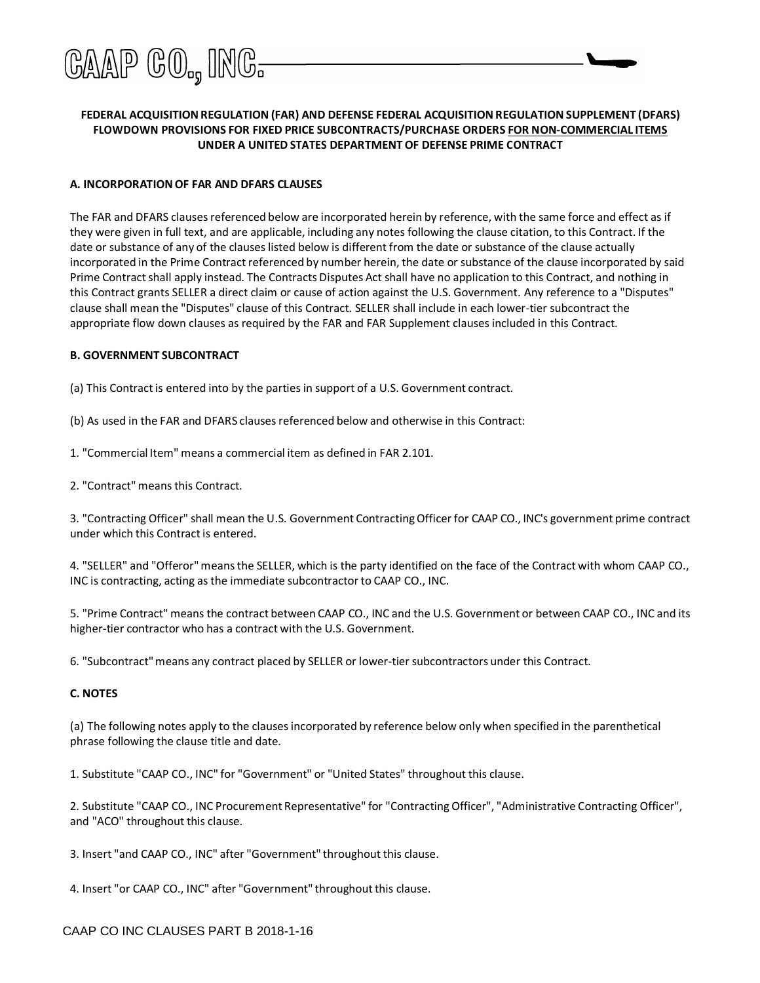

## **FEDERAL ACQUISITIONREGULATION (FAR) AND DEFENSE FEDERAL ACQUISITIONREGULATION SUPPLEMENT (DFARS) FLOWDOWN PROVISIONS FOR FIXED PRICE SUBCONTRACTS/PURCHASE ORDERS FOR NON-COMMERCIAL ITEMS UNDER A UNITED STATES DEPARTMENT OF DEFENSE PRIME CONTRACT**

#### **A. INCORPORATIONOF FAR AND DFARS CLAUSES**

The FAR and DFARS clauses referenced below are incorporated herein by reference, with the same force and effect as if they were given in full text, and are applicable, including any notes following the clause citation, to this Contract. If the date or substance of any of the clauses listed below is different from the date or substance of the clause actually incorporated in the Prime Contract referenced by number herein, the date or substance of the clause incorporated by said Prime Contract shall apply instead. The Contracts Disputes Act shall have no application to this Contract, and nothing in this Contract grants SELLER a direct claim or cause of action against the U.S. Government. Any reference to a "Disputes" clause shall mean the "Disputes" clause of this Contract. SELLER shall include in each lower-tier subcontract the appropriate flow down clauses as required by the FAR and FAR Supplement clauses included in this Contract.

#### **B. GOVERNMENT SUBCONTRACT**

(a) This Contractis entered into by the parties in support of a U.S. Government contract.

(b) As used in the FAR and DFARS clauses referenced below and otherwise in this Contract:

1. "Commercial Item" means a commercial item as defined in FAR 2.101.

2. "Contract"means this Contract.

3. "Contracting Officer" shall mean the U.S. Government ContractingOfficer for CAAP CO., INC's government prime contract under which this Contract is entered.

4. "SELLER" and "Offeror"meansthe SELLER, which is the party identified on the face of the Contract with whom CAAP CO., INC is contracting, acting as the immediate subcontractor to CAAP CO., INC.

5. "Prime Contract" means the contract between CAAP CO., INC and the U.S. Government or between CAAP CO., INC and its higher-tier contractor who has a contract with the U.S. Government.

6. "Subcontract"means any contract placed by SELLER or lower-tier subcontractors under this Contract.

#### **C. NOTES**

(a) The following notes apply to the clausesincorporated by reference below only when specified in the parenthetical phrase following the clause title and date.

1. Substitute "CAAP CO., INC" for "Government" or "United States" throughout this clause.

2. Substitute "CAAP CO., INC Procurement Representative" for "Contracting Officer", "Administrative Contracting Officer", and "ACO" throughout this clause.

3. Insert "and CAAP CO., INC" after "Government" throughout this clause.

4. Insert "or CAAP CO., INC" after "Government" throughout this clause.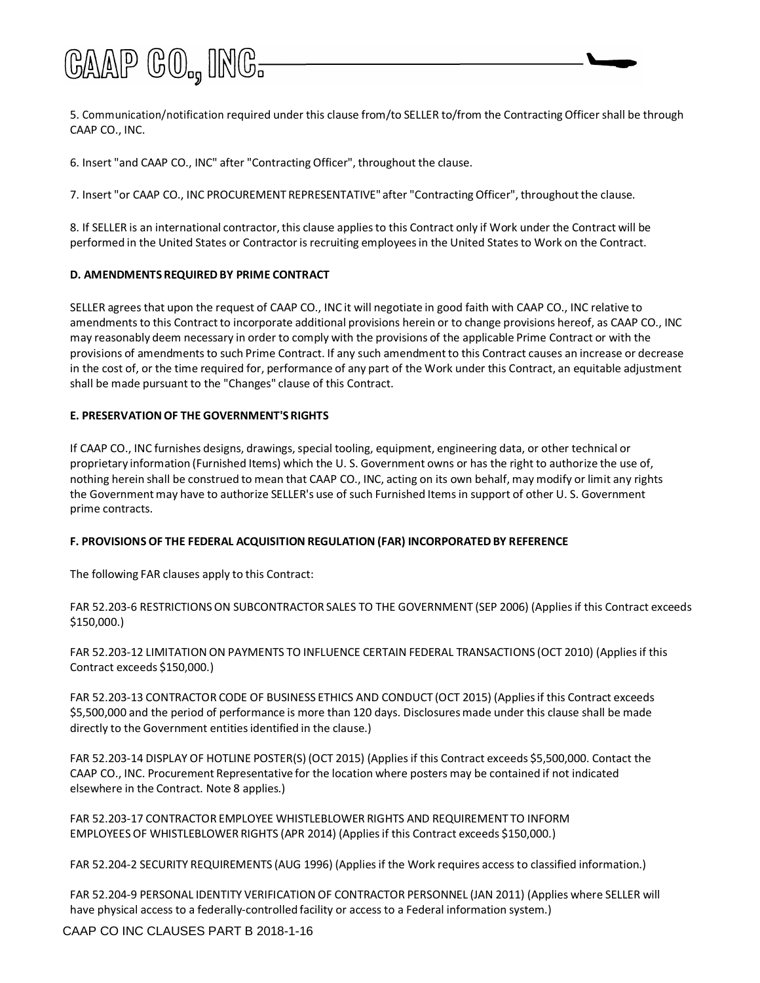# GAAP GO., ING-

5. Communication/notification required under this clause from/to SELLER to/from the Contracting Officer shall be through CAAP CO., INC.

6. Insert "and CAAP CO., INC" after "Contracting Officer", throughout the clause.

7. Insert "or CAAP CO., INC PROCUREMENT REPRESENTATIVE" after "Contracting Officer", throughout the clause.

8. If SELLER is an international contractor, this clause applies to this Contract only if Work under the Contract will be performed in the United States or Contractor is recruiting employeesin the United Statesto Work on the Contract.

#### **D. AMENDMENTS REQUIREDBY PRIME CONTRACT**

SELLER agrees that upon the request of CAAP CO., INC it will negotiate in good faith with CAAP CO., INC relative to amendments to this Contract to incorporate additional provisions herein or to change provisions hereof, as CAAP CO., INC may reasonably deem necessary in order to comply with the provisions of the applicable Prime Contract or with the provisions of amendments to such Prime Contract. If any such amendment to this Contract causes an increase or decrease in the cost of, or the time required for, performance of any part of the Work under this Contract, an equitable adjustment shall be made pursuant to the "Changes" clause of this Contract.

## **E. PRESERVATIONOF THE GOVERNMENT'S RIGHTS**

If CAAP CO., INC furnishes designs, drawings, special tooling, equipment, engineering data, or other technical or proprietary information (Furnished Items) which the U. S. Government owns or has the right to authorize the use of, nothing herein shall be construed to mean that CAAP CO., INC, acting on its own behalf, may modify or limit any rights the Governmentmay have to authorize SELLER's use of such Furnished Itemsin support of other U. S. Government prime contracts.

#### **F. PROVISIONS OF THE FEDERAL ACQUISITION REGULATION (FAR) INCORPORATEDBY REFERENCE**

The following FAR clauses apply to this Contract:

FAR 52.203-6 RESTRICTIONSON SUBCONTRACTOR SALES TO THE GOVERNMENT (SEP 2006) (Appliesif this Contract exceeds \$150,000.)

FAR 52.203-12 LIMITATION ON PAYMENTS TO INFLUENCE CERTAIN FEDERAL TRANSACTIONS (OCT 2010) (Appliesif this Contract exceeds \$150,000.)

FAR 52.203-13 CONTRACTOR CODE OF BUSINESS ETHICS AND CONDUCT (OCT 2015) (Appliesif this Contract exceeds \$5,500,000 and the period of performance is more than 120 days. Disclosuresmade under this clause shall be made directly to the Government entities identified in the clause.)

FAR 52.203-14 DISPLAY OF HOTLINE POSTER(S) (OCT 2015) (Appliesif this Contract exceeds \$5,500,000. Contact the CAAP CO., INC. Procurement Representative for the location where posters may be contained if not indicated elsewhere in the Contract. Note 8 applies.)

FAR 52.203-17 CONTRACTOR EMPLOYEE WHISTLEBLOWER RIGHTS AND REQUIREMENT TO INFORM EMPLOYEESOF WHISTLEBLOWER RIGHTS (APR 2014) (Appliesif this Contract exceeds \$150,000.)

FAR 52.204-2 SECURITY REQUIREMENTS (AUG 1996) (Appliesif the Work requires access to classified information.)

FAR 52.204-9 PERSONAL IDENTITY VERIFICATION OF CONTRACTOR PERSONNEL (JAN 2011) (Applies where SELLER will have physical access to a federally-controlled facility or access to a Federal information system.)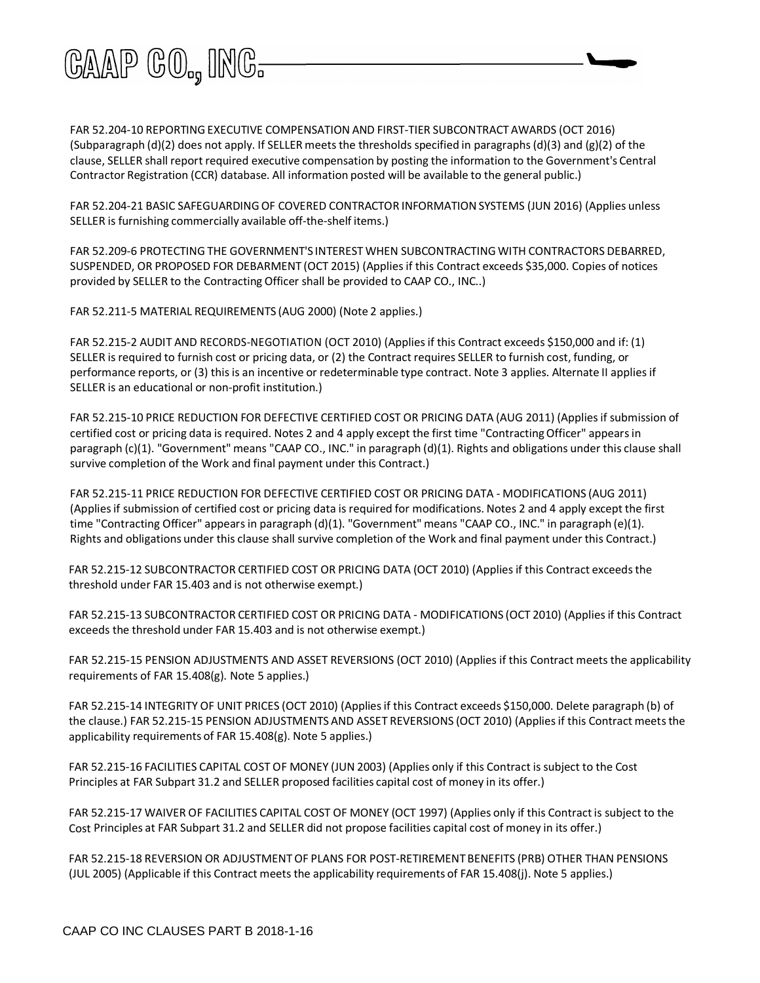

FAR 52.204-10 REPORTINGEXECUTIVE COMPENSATION AND FIRST-TIER SUBCONTRACT AWARDS (OCT 2016) (Subparagraph (d)(2) does not apply. If SELLER meets the thresholds specified in paragraphs (d)(3) and (g)(2) of the clause, SELLER shall report required executive compensation by posting the information to the Government's Central Contractor Registration (CCR) database. All information posted will be available to the general public.)

FAR 52.204-21 BASIC SAFEGUARDINGOF COVERED CONTRACTOR INFORMATION SYSTEMS (JUN 2016) (Applies unless SELLER is furnishing commercially available off-the-shelf items.)

FAR 52.209-6 PROTECTING THE GOVERNMENT'S INTEREST WHEN SUBCONTRACTING WITH CONTRACTORS DEBARRED, SUSPENDED, OR PROPOSED FOR DEBARMENT (OCT 2015) (Appliesif this Contract exceeds \$35,000. Copies of notices provided by SELLER to the Contracting Officer shall be provided to CAAP CO., INC..)

FAR 52.211-5 MATERIAL REQUIREMENTS (AUG 2000) (Note 2 applies.)

FAR 52.215-2 AUDIT AND RECORDS-NEGOTIATION (OCT 2010) (Appliesif this Contract exceeds \$150,000 and if: (1) SELLER is required to furnish cost or pricing data, or (2) the Contract requires SELLER to furnish cost, funding, or performance reports, or (3) thisis an incentive or redeterminable type contract. Note 3 applies. Alternate II appliesif SELLER is an educational or non-profit institution.)

FAR 52.215-10 PRICE REDUCTION FOR DEFECTIVE CERTIFIED COST OR PRICING DATA (AUG 2011) (Appliesif submission of certified cost or pricing data is required. Notes 2 and 4 apply except the first time "ContractingOfficer" appearsin paragraph (c)(1). "Government" means "CAAP CO., INC." in paragraph (d)(1). Rights and obligations under this clause shall survive completion of the Work and final payment under this Contract.)

FAR 52.215-11 PRICE REDUCTION FOR DEFECTIVE CERTIFIED COST OR PRICING DATA - MODIFICATIONS (AUG 2011) (Applies if submission of certified cost or pricing data is required for modifications. Notes 2 and 4 apply except the first time "Contracting Officer" appearsin paragraph (d)(1). "Government" means "CAAP CO., INC." in paragraph (e)(1). Rights and obligations under this clause shall survive completion of the Work and final payment under this Contract.)

FAR 52.215-12 SUBCONTRACTOR CERTIFIED COST OR PRICING DATA (OCT 2010) (Applies if this Contract exceeds the threshold under FAR 15.403 and is not otherwise exempt.)

FAR 52.215-13 SUBCONTRACTOR CERTIFIED COST OR PRICING DATA - MODIFICATIONS (OCT 2010) (Appliesif this Contract exceeds the threshold under FAR 15.403 and is not otherwise exempt.)

FAR 52.215-15 PENSION ADJUSTMENTS AND ASSET REVERSIONS (OCT 2010) (Applies if this Contract meets the applicability requirements of FAR 15.408(g). Note 5 applies.)

FAR 52.215-14 INTEGRITY OF UNIT PRICES (OCT 2010) (Appliesif this Contract exceeds \$150,000. Delete paragraph (b) of the clause.) FAR 52.215-15 PENSION ADJUSTMENTS AND ASSET REVERSIONS (OCT 2010) (Applies if this Contract meets the applicability requirements of FAR 15.408(g). Note 5 applies.)

FAR 52.215-16 FACILITIES CAPITAL COST OF MONEY (JUN 2003) (Applies only if this Contract is subject to the Cost Principles at FAR Subpart 31.2 and SELLER proposed facilities capital cost of money in its offer.)

FAR 52.215-17 WAIVER OF FACILITIES CAPITAL COST OF MONEY (OCT 1997) (Applies only if this Contractis subject to the Cost Principles at FAR Subpart 31.2 and SELLER did not propose facilities capital cost of money in its offer.)

FAR 52.215-18 REVERSION OR ADJUSTMENTOF PLANS FOR POST-RETIREMENTBENEFITS (PRB) OTHER THAN PENSIONS (JUL 2005) (Applicable if this Contract meets the applicability requirements of FAR 15.408(j). Note 5 applies.)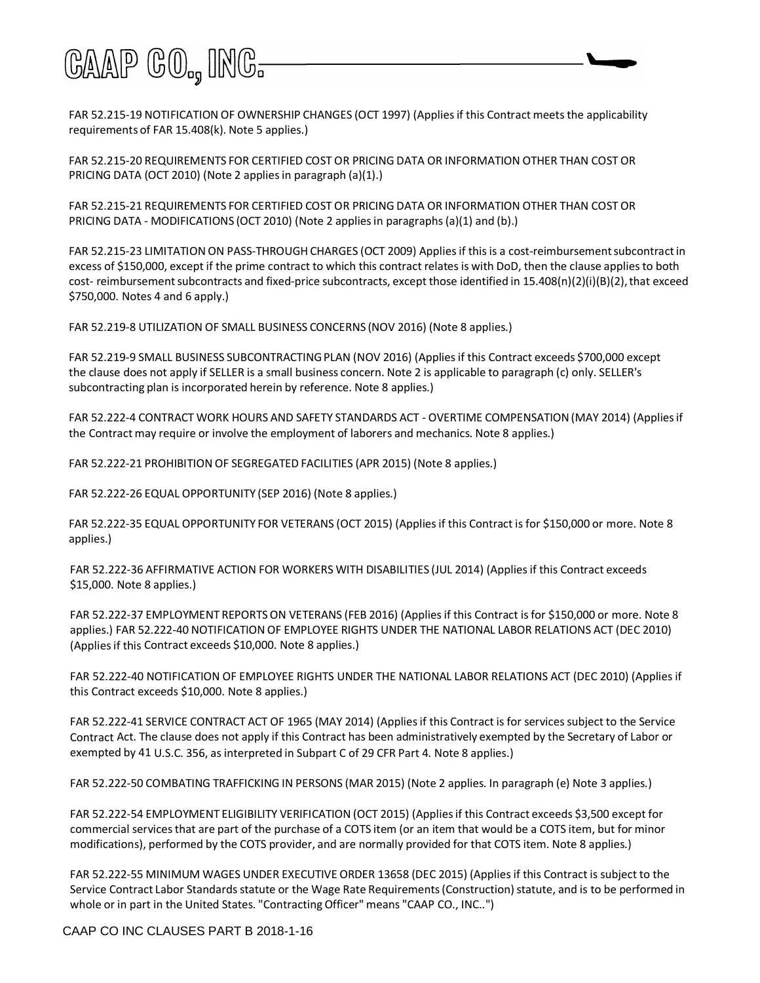

FAR 52.215-19 NOTIFICATION OF OWNERSHIP CHANGES (OCT 1997) (Applies if this Contract meets the applicability requirements of FAR 15.408(k). Note 5 applies.)

FAR 52.215-20 REQUIREMENTS FOR CERTIFIED COST OR PRICING DATA OR INFORMATION OTHER THAN COST OR PRICING DATA (OCT 2010) (Note 2 applies in paragraph (a)(1).)

FAR 52.215-21 REQUIREMENTS FOR CERTIFIED COST OR PRICING DATA OR INFORMATION OTHER THAN COST OR PRICING DATA - MODIFICATIONS (OCT 2010) (Note 2 appliesin paragraphs(a)(1) and (b).)

FAR 52.215-23 LIMITATION ON PASS-THROUGH CHARGES (OCT 2009) Appliesif thisis a cost-reimbursementsubcontractin excess of \$150,000, except if the prime contract to which this contract relates is with DoD, then the clause appliesto both cost- reimbursement subcontracts and fixed-price subcontracts, except those identified in 15.408(n)(2)(i)(B)(2), that exceed \$750,000. Notes 4 and 6 apply.)

FAR 52.219-8 UTILIZATION OF SMALL BUSINESS CONCERNS (NOV 2016) (Note 8 applies.)

FAR 52.219-9 SMALL BUSINESS SUBCONTRACTING PLAN (NOV 2016) (Applies if this Contract exceeds \$700,000 except the clause does not apply if SELLER is a small business concern. Note 2 is applicable to paragraph (c) only. SELLER's subcontracting plan is incorporated herein by reference. Note 8 applies.)

FAR 52.222-4 CONTRACT WORK HOURS AND SAFETY STANDARDS ACT - OVERTIME COMPENSATION(MAY 2014) (Appliesif the Contract may require or involve the employment of laborers and mechanics. Note 8 applies.)

FAR 52.222-21 PROHIBITION OF SEGREGATED FACILITIES (APR 2015) (Note 8 applies.)

FAR 52.222-26 EQUAL OPPORTUNITY (SEP 2016) (Note 8 applies.)

FAR 52.222-35 EQUAL OPPORTUNITY FOR VETERANS (OCT 2015) (Appliesif this Contract is for \$150,000 or more. Note 8 applies.)

FAR 52.222-36 AFFIRMATIVE ACTION FOR WORKERS WITH DISABILITIES (JUL 2014) (Appliesif this Contract exceeds \$15,000. Note 8 applies.)

FAR 52.222-37 EMPLOYMENT REPORTSON VETERANS (FEB 2016) (Appliesif this Contract isfor \$150,000 or more. Note 8 applies.) FAR 52.222-40 NOTIFICATION OF EMPLOYEE RIGHTS UNDER THE NATIONAL LABOR RELATIONS ACT (DEC 2010) (Appliesif this Contract exceeds \$10,000. Note 8 applies.)

FAR 52.222-40 NOTIFICATION OF EMPLOYEE RIGHTS UNDER THE NATIONAL LABOR RELATIONS ACT (DEC 2010) (Applies if this Contract exceeds \$10,000. Note 8 applies.)

FAR 52.222-41 SERVICE CONTRACT ACT OF 1965 (MAY 2014) (Applies if this Contract is for services subject to the Service Contract Act. The clause does not apply if this Contract has been administratively exempted by the Secretary of Labor or exempted by 41 U.S.C. 356, as interpreted in Subpart C of 29 CFR Part 4. Note 8 applies.)

FAR 52.222-50 COMBATING TRAFFICKING IN PERSONS (MAR 2015) (Note 2 applies. In paragraph (e) Note 3 applies.)

FAR 52.222-54 EMPLOYMENT ELIGIBILITY VERIFICATION (OCT 2015) (Appliesif this Contract exceeds \$3,500 except for commercial servicesthat are part of the purchase of a COTS item (or an item that would be a COTS item, but for minor modifications), performed by the COTS provider, and are normally provided for that COTS item. Note 8 applies.)

FAR 52.222-55 MINIMUM WAGES UNDER EXECUTIVE ORDER 13658 (DEC 2015) (Appliesif this Contract is subject to the Service Contract Labor Standards statute or the Wage Rate Requirements (Construction) statute, and is to be performed in whole or in part in the United States. "Contracting Officer" means "CAAP CO., INC..")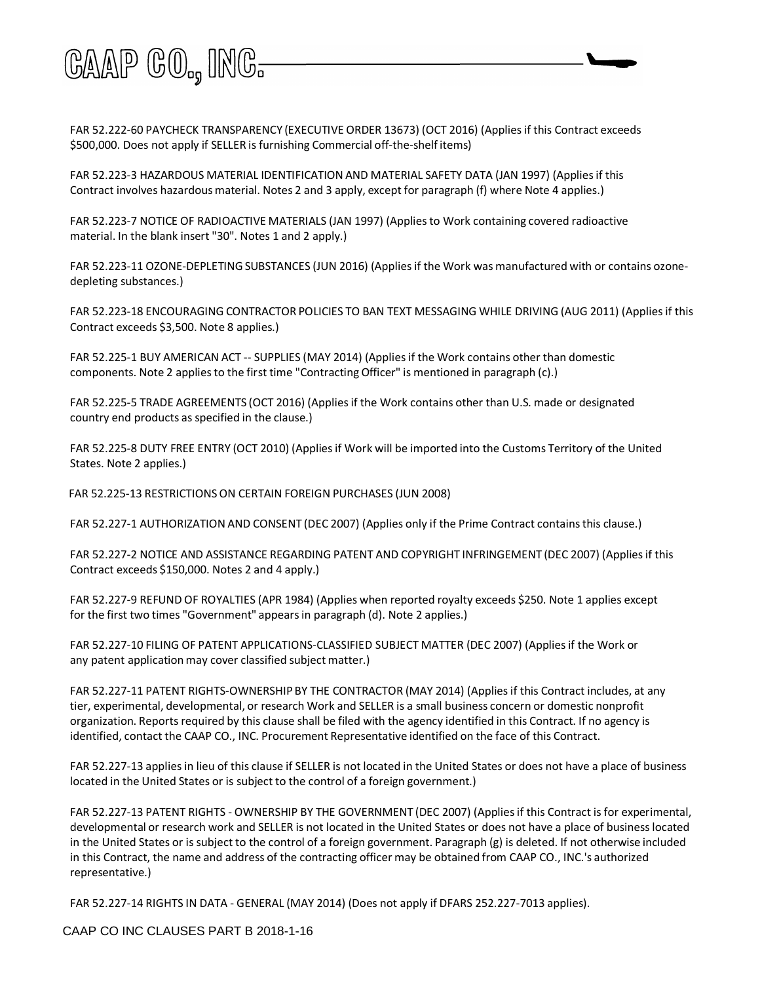

FAR 52.222-60 PAYCHECK TRANSPARENCY (EXECUTIVE ORDER 13673) (OCT 2016) (Appliesif this Contract exceeds \$500,000. Does not apply if SELLER is furnishing Commercial off-the-shelf items)

FAR 52.223-3 HAZARDOUS MATERIAL IDENTIFICATION AND MATERIAL SAFETY DATA (JAN 1997) (Appliesif this Contract involves hazardous material. Notes 2 and 3 apply, except for paragraph (f) where Note 4 applies.)

FAR 52.223-7 NOTICE OF RADIOACTIVE MATERIALS (JAN 1997) (Appliesto Work containing covered radioactive material. In the blank insert "30". Notes 1 and 2 apply.)

FAR 52.223-11 OZONE-DEPLETINGSUBSTANCES (JUN 2016) (Appliesif the Work was manufactured with or contains ozonedepleting substances.)

FAR 52.223-18 ENCOURAGING CONTRACTOR POLICIES TO BAN TEXT MESSAGING WHILE DRIVING (AUG 2011) (Appliesif this Contract exceeds \$3,500. Note 8 applies.)

FAR 52.225-1 BUY AMERICAN ACT -- SUPPLIES (MAY 2014) (Appliesif the Work contains other than domestic components. Note 2 appliesto the first time "Contracting Officer" is mentioned in paragraph (c).)

FAR 52.225-5 TRADE AGREEMENTS (OCT 2016) (Appliesif the Work contains other than U.S. made or designated country end products as specified in the clause.)

FAR 52.225-8 DUTY FREE ENTRY (OCT 2010) (Appliesif Work will be imported into the Customs Territory of the United States. Note 2 applies.)

FAR 52.225-13 RESTRICTIONSON CERTAIN FOREIGN PURCHASES (JUN 2008)

FAR 52.227-1 AUTHORIZATION AND CONSENT (DEC 2007) (Applies only if the Prime Contract containsthis clause.)

FAR 52.227-2 NOTICE AND ASSISTANCE REGARDING PATENT AND COPYRIGHT INFRINGEMENT (DEC 2007) (Appliesif this Contract exceeds \$150,000. Notes 2 and 4 apply.)

FAR 52.227-9 REFUND OF ROYALTIES (APR 1984) (Applies when reported royalty exceeds \$250. Note 1 applies except for the first two times "Government" appearsin paragraph (d). Note 2 applies.)

FAR 52.227-10 FILING OF PATENT APPLICATIONS-CLASSIFIED SUBJECT MATTER (DEC 2007) (Appliesif the Work or any patent application may cover classified subject matter.)

FAR 52.227-11 PATENT RIGHTS-OWNERSHIP BY THE CONTRACTOR (MAY 2014) (Appliesif this Contract includes, at any tier, experimental, developmental, or research Work and SELLER is a small business concern or domestic nonprofit organization. Reports required by this clause shall be filed with the agency identified in this Contract. If no agency is identified, contact the CAAP CO., INC. Procurement Representative identified on the face of this Contract.

FAR 52.227-13 appliesin lieu of this clause if SELLER is not located in the United States or does not have a place of business located in the United States or is subject to the control of a foreign government.)

FAR 52.227-13 PATENT RIGHTS - OWNERSHIP BY THE GOVERNMENT (DEC 2007) (Appliesif this Contract is for experimental, developmental or research work and SELLER is not located in the United States or does not have a place of businesslocated in the United States or is subject to the control of a foreign government. Paragraph (g) is deleted. If not otherwise included in this Contract, the name and address of the contracting officer may be obtained from CAAP CO., INC.'s authorized representative.)

FAR 52.227-14 RIGHTS IN DATA - GENERAL (MAY 2014) (Does not apply if DFARS 252.227-7013 applies).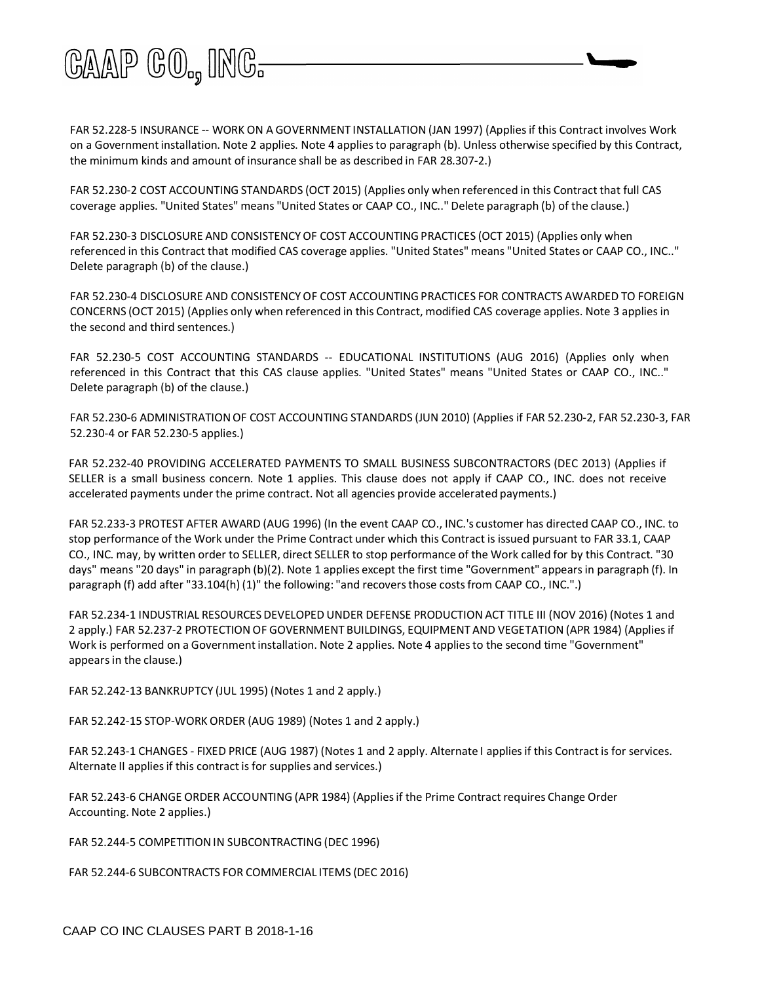

FAR 52.228-5 INSURANCE -- WORK ON A GOVERNMENT INSTALLATION (JAN 1997) (Appliesif this Contract involves Work on a Governmentinstallation. Note 2 applies. Note 4 appliesto paragraph (b). Unless otherwise specified by this Contract, the minimum kinds and amount of insurance shall be as described in FAR 28.307-2.)

FAR 52.230-2 COST ACCOUNTING STANDARDS (OCT 2015) (Applies only when referenced in this Contract that full CAS coverage applies. "United States" means "United States or CAAP CO., INC.." Delete paragraph (b) of the clause.)

FAR 52.230-3 DISCLOSURE AND CONSISTENCY OF COST ACCOUNTING PRACTICES (OCT 2015) (Applies only when referenced in this Contract that modified CAS coverage applies. "United States" means "United States or CAAP CO., INC.." Delete paragraph (b) of the clause.)

FAR 52.230-4 DISCLOSURE AND CONSISTENCYOF COST ACCOUNTINGPRACTICES FOR CONTRACTS AWARDED TO FOREIGN CONCERNS (OCT 2015) (Applies only when referenced in this Contract, modified CAS coverage applies. Note 3 appliesin the second and third sentences.)

FAR 52.230-5 COST ACCOUNTING STANDARDS -- EDUCATIONAL INSTITUTIONS (AUG 2016) (Applies only when referenced in this Contract that this CAS clause applies. "United States" means "United States or CAAP CO., INC.." Delete paragraph (b) of the clause.)

FAR 52.230-6 ADMINISTRATIONOF COST ACCOUNTING STANDARDS (JUN 2010) (Applies if FAR 52.230-2, FAR 52.230-3, FAR 52.230-4 or FAR 52.230-5 applies.)

FAR 52.232-40 PROVIDING ACCELERATED PAYMENTS TO SMALL BUSINESS SUBCONTRACTORS (DEC 2013) (Applies if SELLER is a small business concern. Note 1 applies. This clause does not apply if CAAP CO., INC. does not receive accelerated payments under the prime contract. Not all agencies provide accelerated payments.)

FAR 52.233-3 PROTEST AFTER AWARD (AUG 1996) (In the event CAAP CO., INC.'s customer has directed CAAP CO., INC. to stop performance of the Work under the Prime Contract under which this Contract is issued pursuant to FAR 33.1, CAAP CO., INC. may, by written order to SELLER, direct SELLER to stop performance of the Work called for by this Contract. "30 days" means "20 days" in paragraph (b)(2). Note 1 applies except the first time "Government" appearsin paragraph (f). In paragraph (f) add after "33.104(h) (1)" the following: "and recovers those costs from CAAP CO., INC.".)

FAR 52.234-1 INDUSTRIAL RESOURCES DEVELOPED UNDER DEFENSE PRODUCTION ACT TITLE III (NOV 2016) (Notes 1 and 2 apply.) FAR 52.237-2 PROTECTIONOF GOVERNMENT BUILDINGS, EQUIPMENT AND VEGETATION (APR 1984) (Appliesif Work is performed on a Government installation. Note 2 applies. Note 4 applies to the second time "Government" appearsin the clause.)

FAR 52.242-13 BANKRUPTCY (JUL 1995) (Notes 1 and 2 apply.)

FAR 52.242-15 STOP-WORK ORDER (AUG 1989) (Notes 1 and 2 apply.)

FAR 52.243-1 CHANGES - FIXED PRICE (AUG 1987) (Notes 1 and 2 apply. Alternate I appliesif this Contractis for services. Alternate II applies if this contract is for supplies and services.)

FAR 52.243-6 CHANGE ORDER ACCOUNTING (APR 1984) (Appliesif the Prime Contract requires Change Order Accounting. Note 2 applies.)

FAR 52.244-5 COMPETITIONIN SUBCONTRACTING(DEC 1996)

FAR 52.244-6 SUBCONTRACTS FOR COMMERCIAL ITEMS (DEC 2016)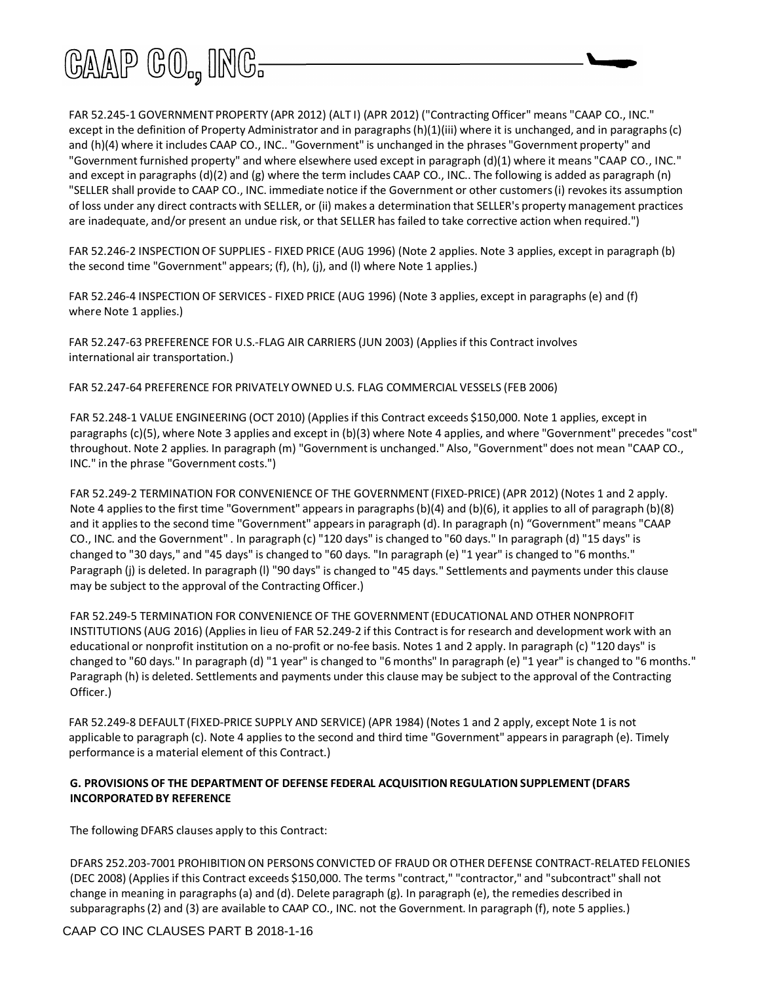

FAR 52.245-1 GOVERNMENT PROPERTY (APR 2012) (ALT I) (APR 2012) ("Contracting Officer" means "CAAP CO., INC." except in the definition of Property Administrator and in paragraphs(h)(1)(iii) where it is unchanged, and in paragraphs(c) and (h)(4) where it includes CAAP CO., INC.. "Government" is unchanged in the phrases "Government property" and "Government furnished property" and where elsewhere used except in paragraph (d)(1) where it means "CAAP CO., INC." and except in paragraphs (d)(2) and (g) where the term includes CAAP CO., INC.. The following is added as paragraph (n) "SELLER shall provide to CAAP CO., INC. immediate notice if the Government or other customers(i) revokesits assumption of loss under any direct contracts with SELLER, or (ii) makes a determination that SELLER's property management practices are inadequate, and/or present an undue risk, or that SELLER has failed to take corrective action when required.")

FAR 52.246-2 INSPECTION OF SUPPLIES - FIXED PRICE (AUG 1996) (Note 2 applies. Note 3 applies, except in paragraph (b) the second time "Government" appears; (f), (h), (j), and (l) where Note 1 applies.)

FAR 52.246-4 INSPECTION OF SERVICES - FIXED PRICE (AUG 1996) (Note 3 applies, except in paragraphs(e) and (f) where Note 1 applies.)

FAR 52.247-63 PREFERENCE FOR U.S.-FLAG AIR CARRIERS (JUN 2003) (Appliesif this Contract involves international air transportation.)

FAR 52.247-64 PREFERENCE FOR PRIVATELYOWNED U.S. FLAG COMMERCIAL VESSELS (FEB 2006)

FAR 52.248-1 VALUE ENGINEERING (OCT 2010) (Appliesif this Contract exceeds \$150,000. Note 1 applies, except in paragraphs (c)(5), where Note 3 applies and except in (b)(3) where Note 4 applies, and where "Government" precedes "cost" throughout. Note 2 applies. In paragraph (m) "Governmentis unchanged." Also, "Government" does not mean "CAAP CO., INC." in the phrase "Government costs.")

FAR 52.249-2 TERMINATION FOR CONVENIENCE OF THE GOVERNMENT (FIXED-PRICE) (APR 2012) (Notes 1 and 2 apply. Note 4 applies to the first time "Government" appears in paragraphs (b)(4) and (b)(6), it applies to all of paragraph (b)(8) and it appliesto the second time "Government" appearsin paragraph (d). In paragraph (n) "Government"means "CAAP CO., INC. and the Government" . In paragraph (c) "120 days" is changed to "60 days." In paragraph (d) "15 days" is changed to "30 days," and "45 days" is changed to "60 days. "In paragraph (e) "1 year" is changed to "6 months." Paragraph (j) is deleted. In paragraph (l) "90 days" is changed to "45 days." Settlements and payments under this clause may be subject to the approval of the Contracting Officer.)

FAR 52.249-5 TERMINATION FOR CONVENIENCE OF THE GOVERNMENT (EDUCATIONAL AND OTHER NONPROFIT INSTITUTIONS (AUG 2016) (Appliesin lieu of FAR 52.249-2 if this Contractis for research and development work with an educational or nonprofit institution on a no-profit or no-fee basis. Notes 1 and 2 apply. In paragraph (c) "120 days" is changed to "60 days." In paragraph (d) "1 year" is changed to "6 months" In paragraph (e) "1 year" is changed to "6 months." Paragraph (h) is deleted. Settlements and payments under this clause may be subject to the approval of the Contracting Officer.)

FAR 52.249-8 DEFAULT (FIXED-PRICE SUPPLY AND SERVICE) (APR 1984) (Notes 1 and 2 apply, except Note 1 is not applicable to paragraph (c). Note 4 applies to the second and third time "Government" appearsin paragraph (e). Timely performance is a material element of this Contract.)

#### **G. PROVISIONS OF THE DEPARTMENT OF DEFENSE FEDERAL ACQUISITIONREGULATION SUPPLEMENT (DFARS INCORPORATED BY REFERENCE**

The following DFARS clauses apply to this Contract:

DFARS 252.203-7001 PROHIBITION ON PERSONS CONVICTED OF FRAUD OR OTHER DEFENSE CONTRACT-RELATED FELONIES (DEC 2008) (Appliesif this Contract exceeds \$150,000. The terms "contract," "contractor," and "subcontract" shall not change in meaning in paragraphs(a) and (d). Delete paragraph (g). In paragraph (e), the remedies described in subparagraphs(2) and (3) are available to CAAP CO., INC. not the Government. In paragraph (f), note 5 applies.)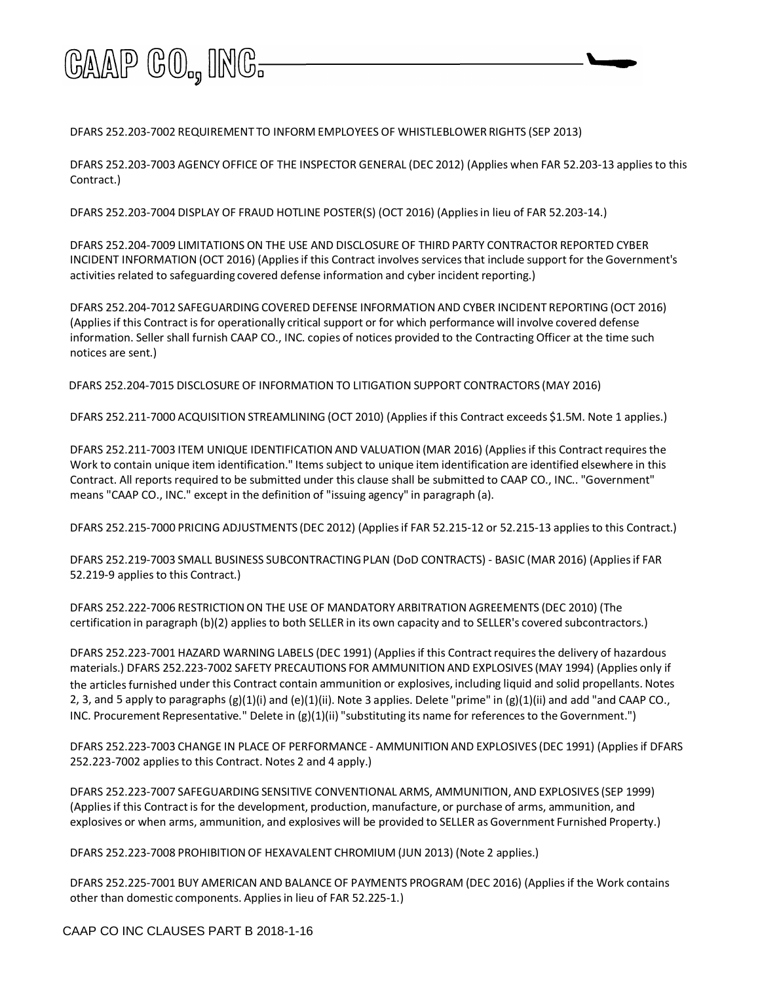

DFARS 252.203-7002 REQUIREMENT TO INFORM EMPLOYEES OF WHISTLEBLOWER RIGHTS (SEP 2013)

DFARS 252.203-7003 AGENCY OFFICE OF THE INSPECTOR GENERAL (DEC 2012) (Applies when FAR 52.203-13 appliesto this Contract.)

DFARS 252.203-7004 DISPLAY OF FRAUD HOTLINE POSTER(S) (OCT 2016) (Appliesin lieu of FAR 52.203-14.)

DFARS 252.204-7009 LIMITATIONS ON THE USE AND DISCLOSURE OF THIRD PARTY CONTRACTOR REPORTED CYBER INCIDENT INFORMATION (OCT 2016) (Appliesif this Contract involves servicesthat include support for the Government's activities related to safeguarding covered defense information and cyber incident reporting.)

DFARS 252.204-7012 SAFEGUARDING COVERED DEFENSE INFORMATION AND CYBER INCIDENT REPORTING (OCT 2016) (Appliesif this Contract isfor operationally critical support or for which performance will involve covered defense information. Seller shall furnish CAAP CO., INC. copies of notices provided to the Contracting Officer at the time such notices are sent.)

DFARS 252.204-7015 DISCLOSURE OF INFORMATION TO LITIGATION SUPPORT CONTRACTORS (MAY 2016)

DFARS 252.211-7000 ACQUISITION STREAMLINING (OCT 2010) (Appliesif this Contract exceeds \$1.5M. Note 1 applies.)

DFARS 252.211-7003 ITEM UNIQUE IDENTIFICATION AND VALUATION (MAR 2016) (Appliesif this Contractrequiresthe Work to contain unique item identification." Items subject to unique item identification are identified elsewhere in this Contract. All reports required to be submitted under this clause shall be submitted to CAAP CO., INC.. "Government" means "CAAP CO., INC." except in the definition of "issuing agency" in paragraph (a).

DFARS 252.215-7000 PRICING ADJUSTMENTS (DEC 2012) (Appliesif FAR 52.215-12 or 52.215-13 appliesto this Contract.)

DFARS 252.219-7003 SMALL BUSINESS SUBCONTRACTINGPLAN (DoD CONTRACTS) - BASIC (MAR 2016) (Appliesif FAR 52.219-9 applies to this Contract.)

DFARS 252.222-7006 RESTRICTION ON THE USE OF MANDATORY ARBITRATION AGREEMENTS (DEC 2010) (The certification in paragraph (b)(2) appliesto both SELLER in its own capacity and to SELLER's covered subcontractors.)

DFARS 252.223-7001 HAZARD WARNING LABELS (DEC 1991) (Applies if this Contract requires the delivery of hazardous materials.) DFARS 252.223-7002 SAFETY PRECAUTIONS FOR AMMUNITION AND EXPLOSIVES (MAY 1994) (Applies only if the articlesfurnished under this Contract contain ammunition or explosives, including liquid and solid propellants. Notes 2, 3, and 5 apply to paragraphs  $(g)(1)(i)$  and  $(e)(1)(ii)$ . Note 3 applies. Delete "prime" in  $(g)(1)(ii)$  and add "and CAAP CO., INC. Procurement Representative." Delete in (g)(1)(ii) "substituting its name for referencesto the Government.")

DFARS 252.223-7003 CHANGE IN PLACE OF PERFORMANCE - AMMUNITION AND EXPLOSIVES (DEC 1991) (Appliesif DFARS 252.223-7002 appliesto this Contract. Notes 2 and 4 apply.)

DFARS 252.223-7007 SAFEGUARDING SENSITIVE CONVENTIONAL ARMS, AMMUNITION, AND EXPLOSIVES (SEP 1999) (Applies if this Contract is for the development, production, manufacture, or purchase of arms, ammunition, and explosives or when arms, ammunition, and explosives will be provided to SELLER as Government Furnished Property.)

DFARS 252.223-7008 PROHIBITION OF HEXAVALENT CHROMIUM (JUN 2013) (Note 2 applies.)

DFARS 252.225-7001 BUY AMERICAN AND BALANCE OF PAYMENTS PROGRAM (DEC 2016) (Appliesif the Work contains other than domestic components. Appliesin lieu of FAR 52.225-1.)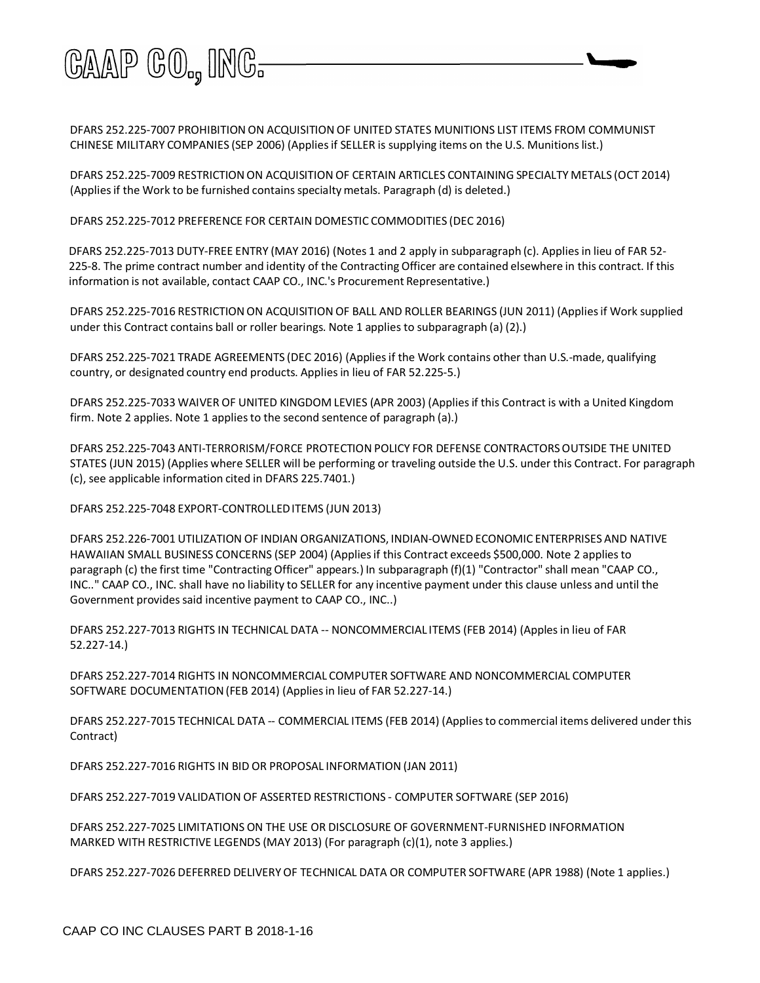

DFARS 252.225-7007 PROHIBITION ON ACQUISITION OF UNITED STATES MUNITIONS LIST ITEMS FROM COMMUNIST CHINESE MILITARY COMPANIES (SEP 2006) (Appliesif SELLER is supplying items on the U.S. Munitionslist.)

DFARS 252.225-7009 RESTRICTION ON ACQUISITION OF CERTAIN ARTICLES CONTAINING SPECIALTY METALS (OCT 2014) (Applies if the Work to be furnished contains specialty metals. Paragraph (d) is deleted.)

DFARS 252.225-7012 PREFERENCE FOR CERTAIN DOMESTIC COMMODITIES (DEC 2016)

DFARS 252.225-7013 DUTY-FREE ENTRY (MAY 2016) (Notes 1 and 2 apply in subparagraph (c). Appliesin lieu of FAR 52- 225-8. The prime contract number and identity of the Contracting Officer are contained elsewhere in this contract. If this information is not available, contact CAAP CO., INC.'s Procurement Representative.)

DFARS 252.225-7016 RESTRICTION ON ACQUISITION OF BALL AND ROLLER BEARINGS (JUN 2011) (Applies if Work supplied under this Contract contains ball or roller bearings. Note 1 applies to subparagraph (a) (2).)

DFARS 252.225-7021 TRADE AGREEMENTS (DEC 2016) (Appliesif the Work contains other than U.S.-made, qualifying country, or designated country end products. Appliesin lieu of FAR 52.225-5.)

DFARS 252.225-7033 WAIVER OF UNITED KINGDOM LEVIES (APR 2003) (Appliesif this Contract is with a United Kingdom firm. Note 2 applies. Note 1 applies to the second sentence of paragraph (a).)

DFARS 252.225-7043 ANTI-TERRORISM/FORCE PROTECTION POLICY FOR DEFENSE CONTRACTORSOUTSIDE THE UNITED STATES (JUN 2015) (Applies where SELLER will be performing or traveling outside the U.S. under this Contract. For paragraph (c), see applicable information cited in DFARS 225.7401.)

DFARS 252.225-7048 EXPORT-CONTROLLEDITEMS (JUN 2013)

DFARS 252.226-7001 UTILIZATION OF INDIAN ORGANIZATIONS, INDIAN-OWNEDECONOMIC ENTERPRISES AND NATIVE HAWAIIAN SMALL BUSINESS CONCERNS (SEP 2004) (Appliesif this Contract exceeds \$500,000. Note 2 appliesto paragraph (c) the first time "Contracting Officer" appears.) In subparagraph (f)(1) "Contractor" shall mean "CAAP CO., INC.." CAAP CO., INC. shall have no liability to SELLER for any incentive payment under this clause unless and until the Government provides said incentive payment to CAAP CO., INC..)

DFARS 252.227-7013 RIGHTS IN TECHNICAL DATA -- NONCOMMERCIAL ITEMS (FEB 2014) (Applesin lieu of FAR 52.227-14.)

DFARS 252.227-7014 RIGHTS IN NONCOMMERCIAL COMPUTER SOFTWARE AND NONCOMMERCIAL COMPUTER SOFTWARE DOCUMENTATION(FEB 2014) (Appliesin lieu of FAR 52.227-14.)

DFARS 252.227-7015 TECHNICAL DATA -- COMMERCIAL ITEMS (FEB 2014) (Appliesto commercial items delivered under this Contract)

DFARS 252.227-7016 RIGHTS IN BID OR PROPOSAL INFORMATION (JAN 2011)

DFARS 252.227-7019 VALIDATION OF ASSERTED RESTRICTIONS - COMPUTER SOFTWARE (SEP 2016)

DFARS 252.227-7025 LIMITATIONS ON THE USE OR DISCLOSURE OF GOVERNMENT-FURNISHED INFORMATION MARKED WITH RESTRICTIVE LEGENDS (MAY 2013) (For paragraph (c)(1), note 3 applies.)

DFARS 252.227-7026 DEFERRED DELIVERYOF TECHNICAL DATA OR COMPUTER SOFTWARE (APR 1988) (Note 1 applies.)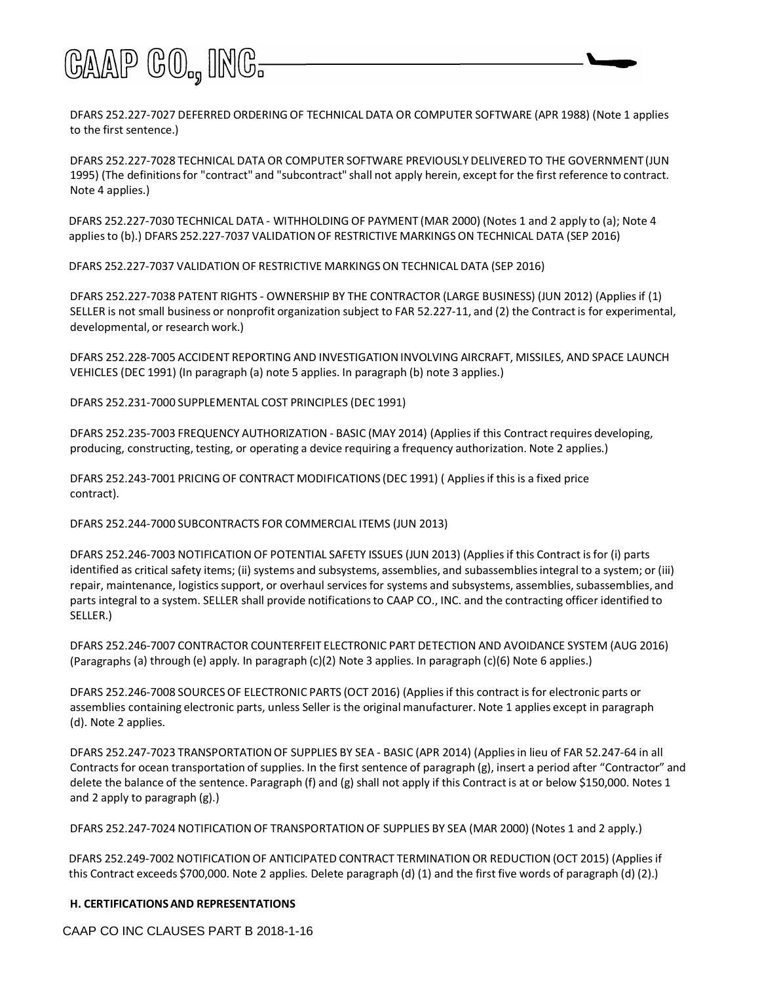

DFARS 252.227-7027 DEFERRED ORDERING OF TECHNICAL DATA OR COMPUTER SOFTWARE (APR 1988) (Note 1 applies to the first sentence.)

DFARS 252.227-7028 TECHNICAL DATA OR COMPUTER SOFTWARE PREVIOUSLY DELIVERED TO THE GOVERNMENT (JUN 1995) (The definitionsfor "contract" and "subcontract" shall not apply herein, except for the first reference to contract. Note 4 applies.)

DFARS 252.227-7030 TECHNICAL DATA - WITHHOLDING OF PAYMENT (MAR 2000) (Notes 1 and 2 apply to (a); Note 4 applies to (b).) DFARS 252.227-7037 VALIDATION OF RESTRICTIVE MARKINGS ON TECHNICAL DATA (SEP 2016)

DFARS 252.227-7037 VALIDATION OF RESTRICTIVE MARKINGSON TECHNICAL DATA (SEP 2016)

DFARS 252.227-7038 PATENT RIGHTS - OWNERSHIP BY THE CONTRACTOR (LARGE BUSINESS) (JUN 2012) (Appliesif (1) SELLER is not small business or nonprofit organization subject to FAR 52.227-11, and (2) the Contractis for experimental, developmental, or research work.)

DFARS 252.228-7005 ACCIDENT REPORTING AND INVESTIGATIONINVOLVING AIRCRAFT, MISSILES, AND SPACE LAUNCH VEHICLES (DEC 1991) (In paragraph (a) note 5 applies. In paragraph (b) note 3 applies.)

DFARS 252.231-7000 SUPPLEMENTAL COST PRINCIPLES (DEC 1991)

DFARS 252.235-7003 FREQUENCY AUTHORIZATION - BASIC (MAY 2014) (Appliesif this Contractrequires developing, producing, constructing, testing, or operating a device requiring a frequency authorization. Note 2 applies.)

DFARS 252.243-7001 PRICING OF CONTRACT MODIFICATIONS (DEC 1991) ( Appliesif this is a fixed price contract).

DFARS 252.244-7000 SUBCONTRACTS FOR COMMERCIAL ITEMS (JUN 2013)

DFARS 252.246-7003 NOTIFICATIONOF POTENTIAL SAFETY ISSUES (JUN 2013) (Appliesif this Contract isfor (i) parts identified as critical safety items; (ii) systems and subsystems, assemblies, and subassembliesintegral to a system; or (iii) repair, maintenance, logistics support, or overhaul services for systems and subsystems, assemblies, subassemblies, and parts integral to a system. SELLER shall provide notificationsto CAAP CO., INC. and the contracting officer identified to SELLER.)

DFARS 252.246-7007 CONTRACTOR COUNTERFEIT ELECTRONIC PART DETECTION AND AVOIDANCE SYSTEM (AUG 2016) (Paragraphs (a) through (e) apply. In paragraph (c)(2) Note 3 applies. In paragraph (c)(6) Note 6 applies.)

DFARS 252.246-7008 SOURCES OF ELECTRONIC PARTS (OCT 2016) (Applies if this contract is for electronic parts or assemblies containing electronic parts, unless Seller is the original manufacturer. Note 1 applies except in paragraph (d). Note 2 applies.

DFARS 252.247-7023 TRANSPORTATION OF SUPPLIES BY SEA - BASIC (APR 2014) (Applies in lieu of FAR 52.247-64 in all Contracts for ocean transportation of supplies. In the first sentence of paragraph (g), insert a period after "Contractor" and delete the balance of the sentence. Paragraph (f) and (g) shall not apply if this Contract is at or below \$150,000. Notes 1 and 2 apply to paragraph (g).)

DFARS 252.247-7024 NOTIFICATIONOF TRANSPORTATION OF SUPPLIES BY SEA (MAR 2000) (Notes 1 and 2 apply.)

DFARS 252.249-7002 NOTIFICATION OF ANTICIPATED CONTRACT TERMINATION OR REDUCTION (OCT 2015) (Applies if this Contract exceeds \$700,000. Note 2 applies. Delete paragraph (d) (1) and the first five words of paragraph (d) (2).)

#### **H. CERTIFICATIONSAND REPRESENTATIONS**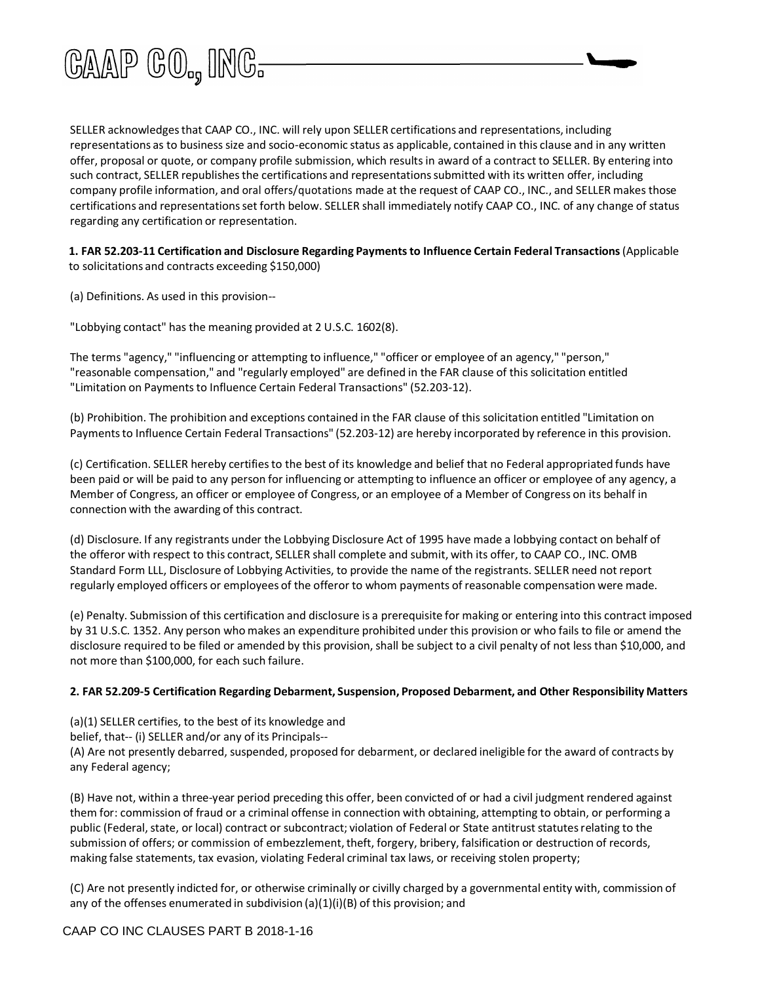

SELLER acknowledgesthat CAAP CO., INC. will rely upon SELLER certifications and representations, including representations as to business size and socio-economic status as applicable, contained in this clause and in any written offer, proposal or quote, or company profile submission, which resultsin award of a contract to SELLER. By entering into such contract, SELLER republishes the certifications and representations submitted with its written offer, including company profile information, and oral offers/quotations made at the request of CAAP CO., INC., and SELLER makes those certifications and representationsset forth below. SELLER shall immediately notify CAAP CO., INC. of any change of status regarding any certification or representation.

**1. FAR 52.203-11 Certification and Disclosure Regarding Paymentsto Influence Certain Federal Transactions**(Applicable to solicitations and contracts exceeding \$150,000)

(a) Definitions. As used in this provision--

"Lobbying contact" has the meaning provided at 2 U.S.C. 1602(8).

The terms "agency," "influencing or attempting to influence," "officer or employee of an agency," "person," "reasonable compensation," and "regularly employed" are defined in the FAR clause of this solicitation entitled "Limitation on Payments to Influence Certain Federal Transactions" (52.203-12).

(b) Prohibition. The prohibition and exceptions contained in the FAR clause of this solicitation entitled "Limitation on Paymentsto Influence Certain Federal Transactions" (52.203-12) are hereby incorporated by reference in this provision.

(c) Certification. SELLER hereby certifiesto the best of its knowledge and belief that no Federal appropriated funds have been paid or will be paid to any person for influencing or attempting to influence an officer or employee of any agency, a Member of Congress, an officer or employee of Congress, or an employee of a Member of Congress on its behalf in connection with the awarding of this contract.

(d) Disclosure. If any registrants under the Lobbying Disclosure Act of 1995 have made a lobbying contact on behalf of the offeror with respect to this contract, SELLER shall complete and submit, with its offer, to CAAP CO., INC. OMB Standard Form LLL, Disclosure of Lobbying Activities, to provide the name of the registrants. SELLER need not report regularly employed officers or employees of the offeror to whom payments of reasonable compensation were made.

(e) Penalty. Submission of this certification and disclosure is a prerequisite for making or entering into this contract imposed by 31 U.S.C. 1352. Any person who makes an expenditure prohibited under this provision or who fails to file or amend the disclosure required to be filed or amended by this provision, shall be subject to a civil penalty of not less than \$10,000, and not more than \$100,000, for each such failure.

#### **2. FAR 52.209-5 Certification Regarding Debarment, Suspension, Proposed Debarment, and Other Responsibility Matters**

- (a)(1) SELLER certifies, to the best of its knowledge and
- belief, that-- (i) SELLER and/or any of its Principals--

(A) Are not presently debarred, suspended, proposed for debarment, or declared ineligible for the award of contracts by any Federal agency;

(B) Have not, within a three-year period preceding this offer, been convicted of or had a civil judgment rendered against them for: commission of fraud or a criminal offense in connection with obtaining, attempting to obtain, or performing a public (Federal, state, or local) contract or subcontract; violation of Federal or State antitrust statutes relating to the submission of offers; or commission of embezzlement, theft, forgery, bribery, falsification or destruction of records, making false statements, tax evasion, violating Federal criminal tax laws, or receiving stolen property;

(C) Are not presently indicted for, or otherwise criminally or civilly charged by a governmental entity with, commission of any of the offenses enumerated in subdivision  $(a)(1)(i)(B)$  of this provision; and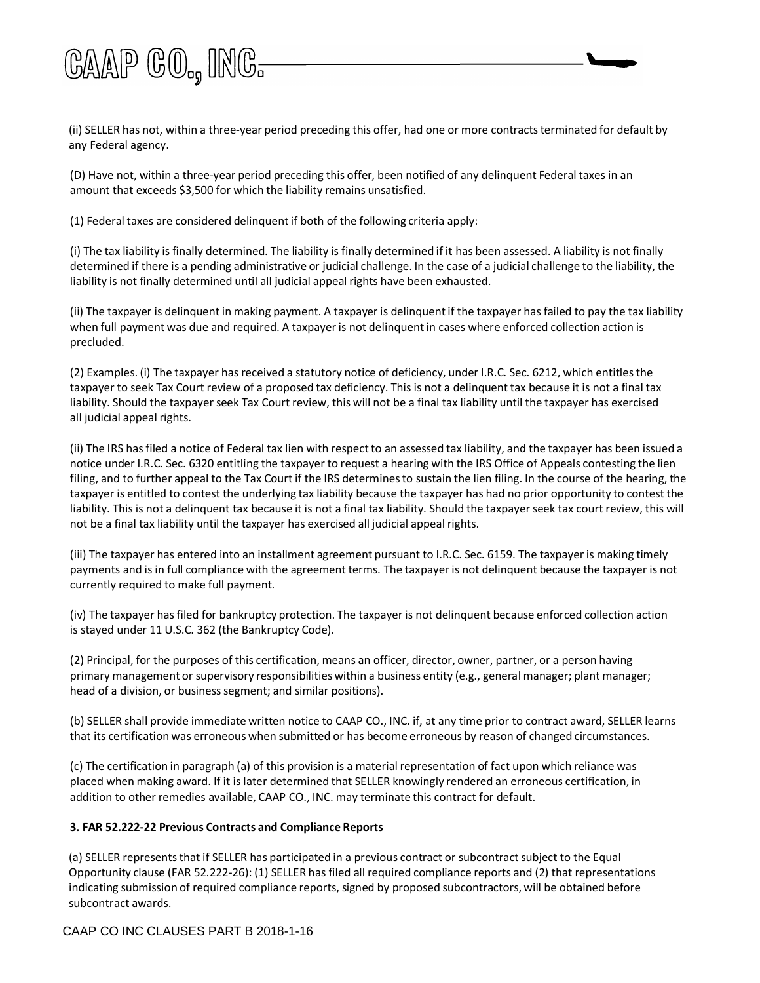

(ii) SELLER has not, within a three-year period preceding this offer, had one or more contractsterminated for default by any Federal agency.

(D) Have not, within a three-year period preceding this offer, been notified of any delinquent Federal taxes in an amount that exceeds \$3,500 for which the liability remains unsatisfied.

(1) Federal taxes are considered delinquentif both of the following criteria apply:

(i) The tax liability is finally determined. The liability is finally determined if it has been assessed. A liability is not finally determined if there is a pending administrative or judicial challenge. In the case of a judicial challenge to the liability, the liability is not finally determined until all judicial appeal rights have been exhausted.

(ii) The taxpayer is delinquent in making payment. A taxpayer is delinquentif the taxpayer has failed to pay the tax liability when full payment was due and required. A taxpayer is not delinquentin cases where enforced collection action is precluded.

(2) Examples. (i) The taxpayer has received a statutory notice of deficiency, under I.R.C. Sec. 6212, which entitlesthe taxpayer to seek Tax Court review of a proposed tax deficiency. This is not a delinquent tax because it is not a final tax liability. Should the taxpayer seek Tax Court review, this will not be a final tax liability until the taxpayer has exercised all judicial appeal rights.

(ii) The IRS hasfiled a notice of Federal tax lien with respectto an assessed tax liability, and the taxpayer has been issued a notice under I.R.C. Sec. 6320 entitling the taxpayer to request a hearing with the IRS Office of Appeals contesting the lien filing, and to further appeal to the Tax Court if the IRS determinesto sustain the lien filing. In the course of the hearing, the taxpayer is entitled to contest the underlying tax liability because the taxpayer has had no prior opportunity to contest the liability. This is not a delinquent tax because it is not a final tax liability. Should the taxpayer seek tax court review, this will not be a final tax liability until the taxpayer has exercised all judicial appeal rights.

(iii) The taxpayer has entered into an installment agreement pursuant to I.R.C. Sec. 6159. The taxpayer is making timely payments and is in full compliance with the agreement terms. The taxpayer is not delinquent because the taxpayer is not currently required to make full payment.

(iv) The taxpayer hasfiled for bankruptcy protection. The taxpayer is not delinquent because enforced collection action is stayed under 11 U.S.C. 362 (the Bankruptcy Code).

(2) Principal, for the purposes of this certification, means an officer, director, owner, partner, or a person having primary management or supervisory responsibilities within a business entity (e.g., general manager; plant manager; head of a division, or business segment; and similar positions).

(b) SELLER shall provide immediate written notice to CAAP CO., INC. if, at any time prior to contract award, SELLER learns that its certification was erroneous when submitted or has become erroneous by reason of changed circumstances.

(c) The certification in paragraph (a) of this provision is a material representation of fact upon which reliance was placed when making award. If it is later determined that SELLER knowingly rendered an erroneous certification, in addition to other remedies available, CAAP CO., INC. may terminate this contract for default.

#### **3. FAR 52.222-22 Previous Contracts and Compliance Reports**

(a) SELLER represents that if SELLER has participated in a previous contract or subcontract subject to the Equal Opportunity clause (FAR 52.222-26): (1) SELLER has filed all required compliance reports and (2) that representations indicating submission of required compliance reports, signed by proposed subcontractors, will be obtained before subcontract awards.